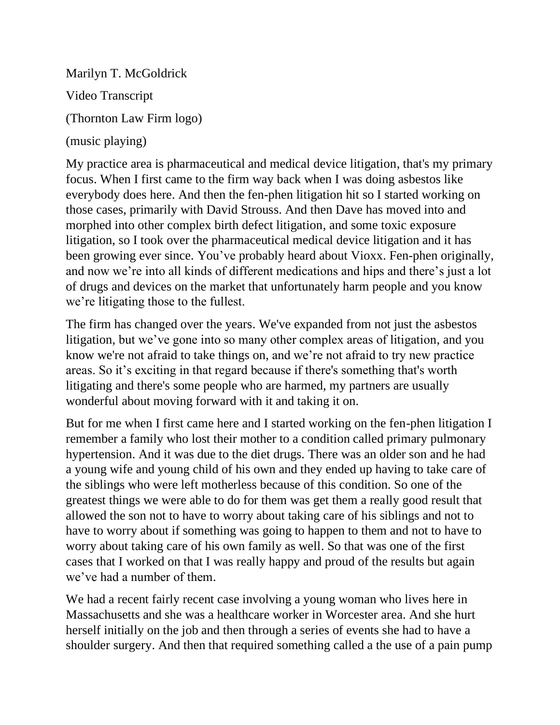Marilyn T. McGoldrick Video Transcript (Thornton Law Firm logo) (music playing)

My practice area is pharmaceutical and medical device litigation, that's my primary focus. When I first came to the firm way back when I was doing asbestos like everybody does here. And then the fen-phen litigation hit so I started working on those cases, primarily with David Strouss. And then Dave has moved into and morphed into other complex birth defect litigation, and some toxic exposure litigation, so I took over the pharmaceutical medical device litigation and it has been growing ever since. You've probably heard about Vioxx. Fen-phen originally, and now we're into all kinds of different medications and hips and there's just a lot of drugs and devices on the market that unfortunately harm people and you know we're litigating those to the fullest.

The firm has changed over the years. We've expanded from not just the asbestos litigation, but we've gone into so many other complex areas of litigation, and you know we're not afraid to take things on, and we're not afraid to try new practice areas. So it's exciting in that regard because if there's something that's worth litigating and there's some people who are harmed, my partners are usually wonderful about moving forward with it and taking it on.

But for me when I first came here and I started working on the fen-phen litigation I remember a family who lost their mother to a condition called primary pulmonary hypertension. And it was due to the diet drugs. There was an older son and he had a young wife and young child of his own and they ended up having to take care of the siblings who were left motherless because of this condition. So one of the greatest things we were able to do for them was get them a really good result that allowed the son not to have to worry about taking care of his siblings and not to have to worry about if something was going to happen to them and not to have to worry about taking care of his own family as well. So that was one of the first cases that I worked on that I was really happy and proud of the results but again we've had a number of them.

We had a recent fairly recent case involving a young woman who lives here in Massachusetts and she was a healthcare worker in Worcester area. And she hurt herself initially on the job and then through a series of events she had to have a shoulder surgery. And then that required something called a the use of a pain pump